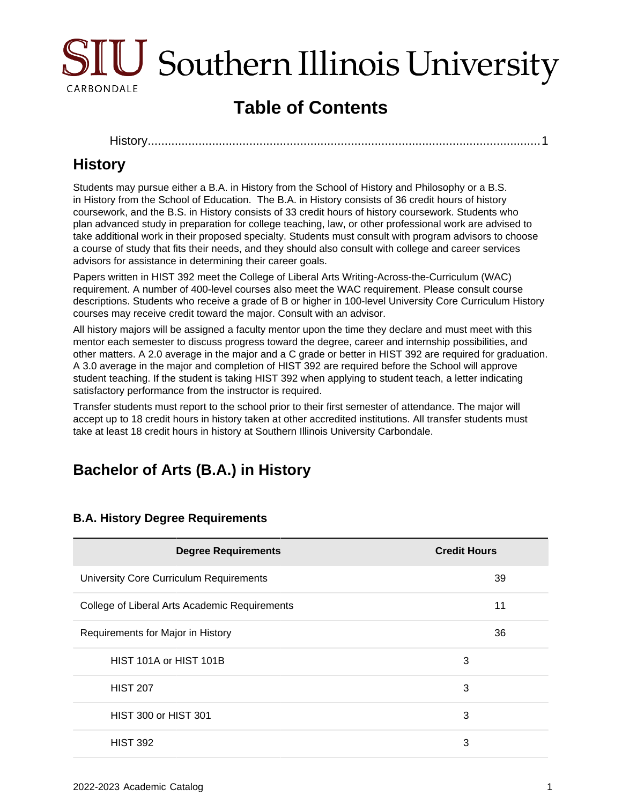

# **Table of Contents**

[History................................................................................................................](#page-0-0)....1

## <span id="page-0-0"></span>**History**

Students may pursue either a B.A. in History from the School of History and Philosophy or a B.S. in History from the School of Education. The B.A. in History consists of 36 credit hours of history coursework, and the B.S. in History consists of 33 credit hours of history coursework. Students who plan advanced study in preparation for college teaching, law, or other professional work are advised to take additional work in their proposed specialty. Students must consult with program advisors to choose a course of study that fits their needs, and they should also consult with college and career services advisors for assistance in determining their career goals.

Papers written in HIST 392 meet the College of Liberal Arts Writing-Across-the-Curriculum (WAC) requirement. A number of 400-level courses also meet the WAC requirement. Please consult course descriptions. Students who receive a grade of B or higher in 100-level University Core Curriculum History courses may receive credit toward the major. Consult with an advisor.

All history majors will be assigned a faculty mentor upon the time they declare and must meet with this mentor each semester to discuss progress toward the degree, career and internship possibilities, and other matters. A 2.0 average in the major and a C grade or better in HIST 392 are required for graduation. A 3.0 average in the major and completion of HIST 392 are required before the School will approve student teaching. If the student is taking HIST 392 when applying to student teach, a letter indicating satisfactory performance from the instructor is required.

Transfer students must report to the school prior to their first semester of attendance. The major will accept up to 18 credit hours in history taken at other accredited institutions. All transfer students must take at least 18 credit hours in history at Southern Illinois University Carbondale.

## **Bachelor of Arts (B.A.) in History**

| <b>Degree Requirements</b>                    | <b>Credit Hours</b> |
|-----------------------------------------------|---------------------|
| University Core Curriculum Requirements       | 39                  |
| College of Liberal Arts Academic Requirements | 11                  |
| Requirements for Major in History             | 36                  |
| HIST 101A or HIST 101B                        | 3                   |
| <b>HIST 207</b>                               | 3                   |
| <b>HIST 300 or HIST 301</b>                   | 3                   |
| <b>HIST 392</b>                               | 3                   |

#### **B.A. History Degree Requirements**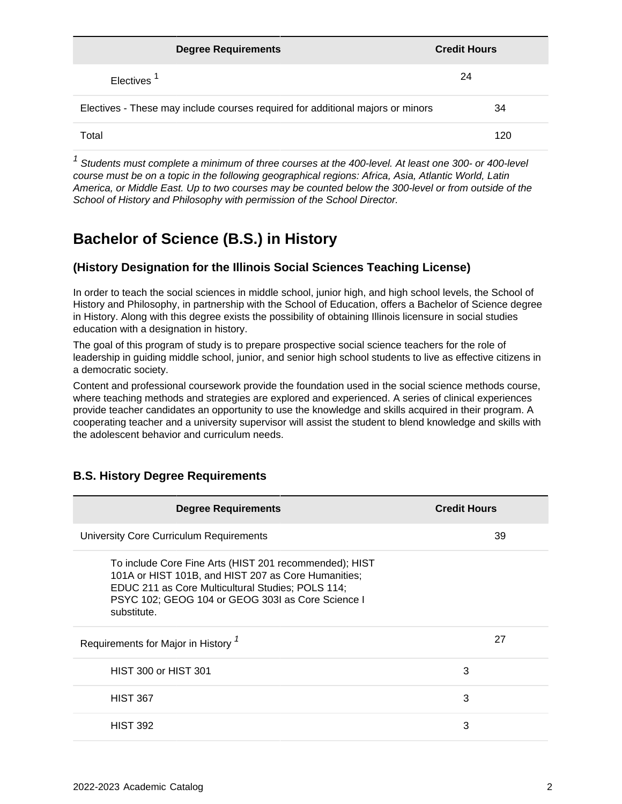| <b>Degree Requirements</b>                                                     | <b>Credit Hours</b> |
|--------------------------------------------------------------------------------|---------------------|
| Electives <sup>1</sup>                                                         | 24                  |
| Electives - These may include courses required for additional majors or minors | 34                  |
| Total                                                                          | 120                 |

 $1$  Students must complete a minimum of three courses at the 400-level. At least one 300- or 400-level course must be on a topic in the following geographical regions: Africa, Asia, Atlantic World, Latin America, or Middle East. Up to two courses may be counted below the 300-level or from outside of the School of History and Philosophy with permission of the School Director.

## **Bachelor of Science (B.S.) in History**

#### **(History Designation for the Illinois Social Sciences Teaching License)**

In order to teach the social sciences in middle school, junior high, and high school levels, the School of History and Philosophy, in partnership with the School of Education, offers a Bachelor of Science degree in History. Along with this degree exists the possibility of obtaining Illinois licensure in social studies education with a designation in history.

The goal of this program of study is to prepare prospective social science teachers for the role of leadership in guiding middle school, junior, and senior high school students to live as effective citizens in a democratic society.

Content and professional coursework provide the foundation used in the social science methods course, where teaching methods and strategies are explored and experienced. A series of clinical experiences provide teacher candidates an opportunity to use the knowledge and skills acquired in their program. A cooperating teacher and a university supervisor will assist the student to blend knowledge and skills with the adolescent behavior and curriculum needs.

| <b>Degree Requirements</b>                                                                                                                                                                                                             | <b>Credit Hours</b> |
|----------------------------------------------------------------------------------------------------------------------------------------------------------------------------------------------------------------------------------------|---------------------|
| University Core Curriculum Requirements                                                                                                                                                                                                | 39                  |
| To include Core Fine Arts (HIST 201 recommended); HIST<br>101A or HIST 101B, and HIST 207 as Core Humanities;<br>EDUC 211 as Core Multicultural Studies; POLS 114;<br>PSYC 102; GEOG 104 or GEOG 303I as Core Science I<br>substitute. |                     |
| Requirements for Major in History <sup>7</sup>                                                                                                                                                                                         | 27                  |
| <b>HIST 300 or HIST 301</b>                                                                                                                                                                                                            | 3                   |
| <b>HIST 367</b>                                                                                                                                                                                                                        | 3                   |
| <b>HIST 392</b>                                                                                                                                                                                                                        | 3                   |

#### **B.S. History Degree Requirements**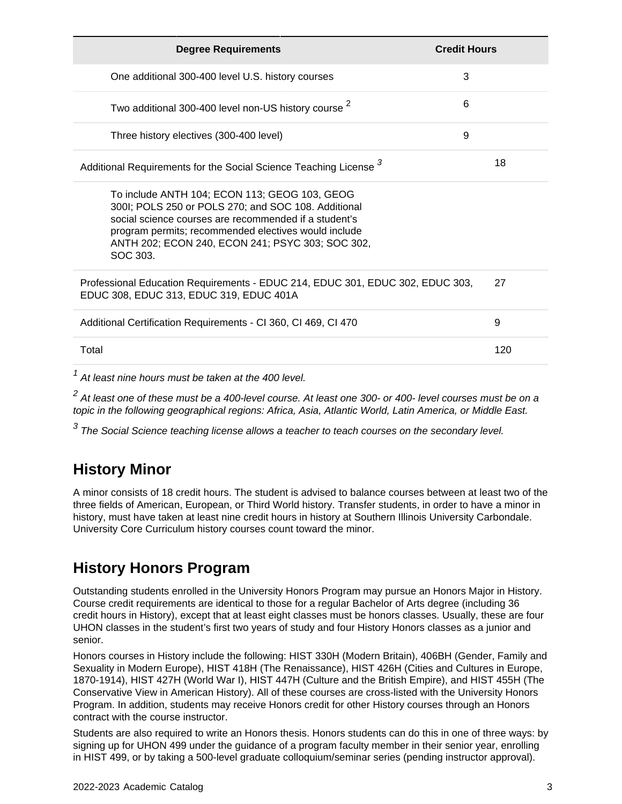| <b>Degree Requirements</b>                                                                                                                                                                                                                                                            | <b>Credit Hours</b> |
|---------------------------------------------------------------------------------------------------------------------------------------------------------------------------------------------------------------------------------------------------------------------------------------|---------------------|
| One additional 300-400 level U.S. history courses                                                                                                                                                                                                                                     | 3                   |
| Two additional 300-400 level non-US history course <sup>2</sup>                                                                                                                                                                                                                       | 6                   |
| Three history electives (300-400 level)                                                                                                                                                                                                                                               | 9                   |
| Additional Requirements for the Social Science Teaching License 3                                                                                                                                                                                                                     | 18                  |
| To include ANTH 104; ECON 113; GEOG 103, GEOG<br>300I; POLS 250 or POLS 270; and SOC 108. Additional<br>social science courses are recommended if a student's<br>program permits; recommended electives would include<br>ANTH 202; ECON 240, ECON 241; PSYC 303; SOC 302,<br>SOC 303. |                     |
| Professional Education Requirements - EDUC 214, EDUC 301, EDUC 302, EDUC 303,<br>EDUC 308, EDUC 313, EDUC 319, EDUC 401A                                                                                                                                                              | 27                  |
| Additional Certification Requirements - CI 360, CI 469, CI 470                                                                                                                                                                                                                        | 9                   |
| Total                                                                                                                                                                                                                                                                                 | 120                 |
| $1$ At loopt pine bours must be taken at the 400 lovel                                                                                                                                                                                                                                |                     |

At least nine hours must be taken at the 400 level.

 $^2$  At least one of these must be a 400-level course. At least one 300- or 400- level courses must be on a topic in the following geographical regions: Africa, Asia, Atlantic World, Latin America, or Middle East.

 $^3$  The Social Science teaching license allows a teacher to teach courses on the secondary level.

### **History Minor**

A minor consists of 18 credit hours. The student is advised to balance courses between at least two of the three fields of American, European, or Third World history. Transfer students, in order to have a minor in history, must have taken at least nine credit hours in history at Southern Illinois University Carbondale. University Core Curriculum history courses count toward the minor.

## **History Honors Program**

Outstanding students enrolled in the University Honors Program may pursue an Honors Major in History. Course credit requirements are identical to those for a regular Bachelor of Arts degree (including 36 credit hours in History), except that at least eight classes must be honors classes. Usually, these are four UHON classes in the student's first two years of study and four History Honors classes as a junior and senior.

Honors courses in History include the following: HIST 330H (Modern Britain), 406BH (Gender, Family and Sexuality in Modern Europe), HIST 418H (The Renaissance), HIST 426H (Cities and Cultures in Europe, 1870-1914), HIST 427H (World War I), HIST 447H (Culture and the British Empire), and HIST 455H (The Conservative View in American History). All of these courses are cross-listed with the University Honors Program. In addition, students may receive Honors credit for other History courses through an Honors contract with the course instructor.

Students are also required to write an Honors thesis. Honors students can do this in one of three ways: by signing up for UHON 499 under the guidance of a program faculty member in their senior year, enrolling in HIST 499, or by taking a 500-level graduate colloquium/seminar series (pending instructor approval).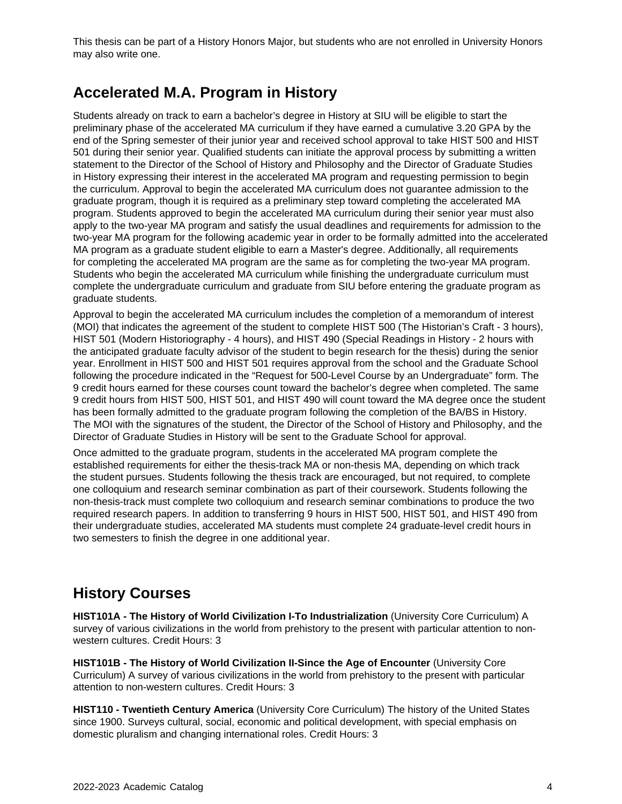This thesis can be part of a History Honors Major, but students who are not enrolled in University Honors may also write one.

#### **Accelerated M.A. Program in History**

Students already on track to earn a bachelor's degree in History at SIU will be eligible to start the preliminary phase of the accelerated MA curriculum if they have earned a cumulative 3.20 GPA by the end of the Spring semester of their junior year and received school approval to take HIST 500 and HIST 501 during their senior year. Qualified students can initiate the approval process by submitting a written statement to the Director of the School of History and Philosophy and the Director of Graduate Studies in History expressing their interest in the accelerated MA program and requesting permission to begin the curriculum. Approval to begin the accelerated MA curriculum does not guarantee admission to the graduate program, though it is required as a preliminary step toward completing the accelerated MA program. Students approved to begin the accelerated MA curriculum during their senior year must also apply to the two-year MA program and satisfy the usual deadlines and requirements for admission to the two-year MA program for the following academic year in order to be formally admitted into the accelerated MA program as a graduate student eligible to earn a Master's degree. Additionally, all requirements for completing the accelerated MA program are the same as for completing the two-year MA program. Students who begin the accelerated MA curriculum while finishing the undergraduate curriculum must complete the undergraduate curriculum and graduate from SIU before entering the graduate program as graduate students.

Approval to begin the accelerated MA curriculum includes the completion of a memorandum of interest (MOI) that indicates the agreement of the student to complete HIST 500 (The Historian's Craft - 3 hours), HIST 501 (Modern Historiography - 4 hours), and HIST 490 (Special Readings in History - 2 hours with the anticipated graduate faculty advisor of the student to begin research for the thesis) during the senior year. Enrollment in HIST 500 and HIST 501 requires approval from the school and the Graduate School following the procedure indicated in the "Request for 500-Level Course by an Undergraduate" form. The 9 credit hours earned for these courses count toward the bachelor's degree when completed. The same 9 credit hours from HIST 500, HIST 501, and HIST 490 will count toward the MA degree once the student has been formally admitted to the graduate program following the completion of the BA/BS in History. The MOI with the signatures of the student, the Director of the School of History and Philosophy, and the Director of Graduate Studies in History will be sent to the Graduate School for approval.

Once admitted to the graduate program, students in the accelerated MA program complete the established requirements for either the thesis-track MA or non-thesis MA, depending on which track the student pursues. Students following the thesis track are encouraged, but not required, to complete one colloquium and research seminar combination as part of their coursework. Students following the non-thesis-track must complete two colloquium and research seminar combinations to produce the two required research papers. In addition to transferring 9 hours in HIST 500, HIST 501, and HIST 490 from their undergraduate studies, accelerated MA students must complete 24 graduate-level credit hours in two semesters to finish the degree in one additional year.

### **History Courses**

**HIST101A - The History of World Civilization I-To Industrialization** (University Core Curriculum) A survey of various civilizations in the world from prehistory to the present with particular attention to nonwestern cultures. Credit Hours: 3

**HIST101B - The History of World Civilization II-Since the Age of Encounter** (University Core Curriculum) A survey of various civilizations in the world from prehistory to the present with particular attention to non-western cultures. Credit Hours: 3

**HIST110 - Twentieth Century America** (University Core Curriculum) The history of the United States since 1900. Surveys cultural, social, economic and political development, with special emphasis on domestic pluralism and changing international roles. Credit Hours: 3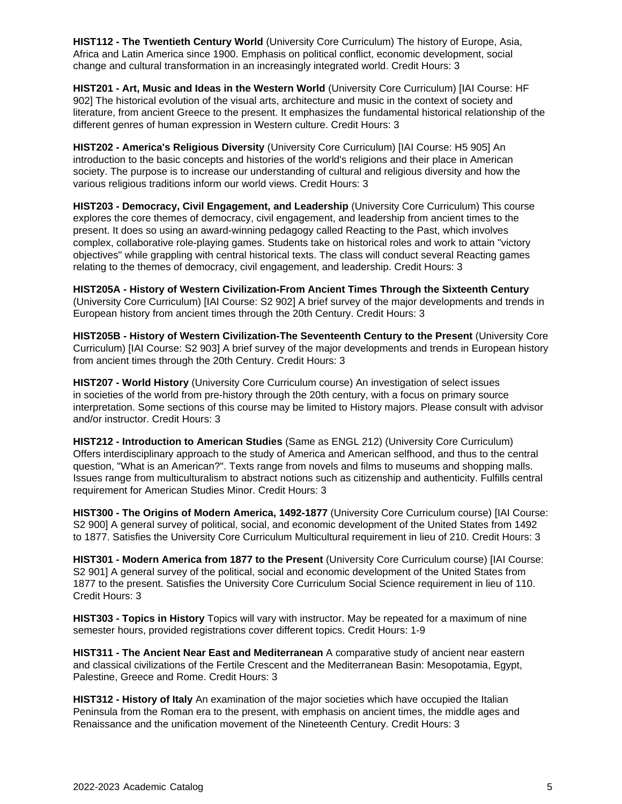**HIST112 - The Twentieth Century World** (University Core Curriculum) The history of Europe, Asia, Africa and Latin America since 1900. Emphasis on political conflict, economic development, social change and cultural transformation in an increasingly integrated world. Credit Hours: 3

**HIST201 - Art, Music and Ideas in the Western World** (University Core Curriculum) [IAI Course: HF 902] The historical evolution of the visual arts, architecture and music in the context of society and literature, from ancient Greece to the present. It emphasizes the fundamental historical relationship of the different genres of human expression in Western culture. Credit Hours: 3

**HIST202 - America's Religious Diversity** (University Core Curriculum) [IAI Course: H5 905] An introduction to the basic concepts and histories of the world's religions and their place in American society. The purpose is to increase our understanding of cultural and religious diversity and how the various religious traditions inform our world views. Credit Hours: 3

**HIST203 - Democracy, Civil Engagement, and Leadership** (University Core Curriculum) This course explores the core themes of democracy, civil engagement, and leadership from ancient times to the present. It does so using an award-winning pedagogy called Reacting to the Past, which involves complex, collaborative role-playing games. Students take on historical roles and work to attain "victory objectives" while grappling with central historical texts. The class will conduct several Reacting games relating to the themes of democracy, civil engagement, and leadership. Credit Hours: 3

**HIST205A - History of Western Civilization-From Ancient Times Through the Sixteenth Century** (University Core Curriculum) [IAI Course: S2 902] A brief survey of the major developments and trends in European history from ancient times through the 20th Century. Credit Hours: 3

**HIST205B - History of Western Civilization-The Seventeenth Century to the Present** (University Core Curriculum) [IAI Course: S2 903] A brief survey of the major developments and trends in European history from ancient times through the 20th Century. Credit Hours: 3

**HIST207 - World History** (University Core Curriculum course) An investigation of select issues in societies of the world from pre-history through the 20th century, with a focus on primary source interpretation. Some sections of this course may be limited to History majors. Please consult with advisor and/or instructor. Credit Hours: 3

**HIST212 - Introduction to American Studies** (Same as ENGL 212) (University Core Curriculum) Offers interdisciplinary approach to the study of America and American selfhood, and thus to the central question, "What is an American?". Texts range from novels and films to museums and shopping malls. Issues range from multiculturalism to abstract notions such as citizenship and authenticity. Fulfills central requirement for American Studies Minor. Credit Hours: 3

**HIST300 - The Origins of Modern America, 1492-1877** (University Core Curriculum course) [IAI Course: S2 900] A general survey of political, social, and economic development of the United States from 1492 to 1877. Satisfies the University Core Curriculum Multicultural requirement in lieu of 210. Credit Hours: 3

**HIST301 - Modern America from 1877 to the Present** (University Core Curriculum course) [IAI Course: S2 901] A general survey of the political, social and economic development of the United States from 1877 to the present. Satisfies the University Core Curriculum Social Science requirement in lieu of 110. Credit Hours: 3

**HIST303 - Topics in History** Topics will vary with instructor. May be repeated for a maximum of nine semester hours, provided registrations cover different topics. Credit Hours: 1-9

**HIST311 - The Ancient Near East and Mediterranean** A comparative study of ancient near eastern and classical civilizations of the Fertile Crescent and the Mediterranean Basin: Mesopotamia, Egypt, Palestine, Greece and Rome. Credit Hours: 3

**HIST312 - History of Italy** An examination of the major societies which have occupied the Italian Peninsula from the Roman era to the present, with emphasis on ancient times, the middle ages and Renaissance and the unification movement of the Nineteenth Century. Credit Hours: 3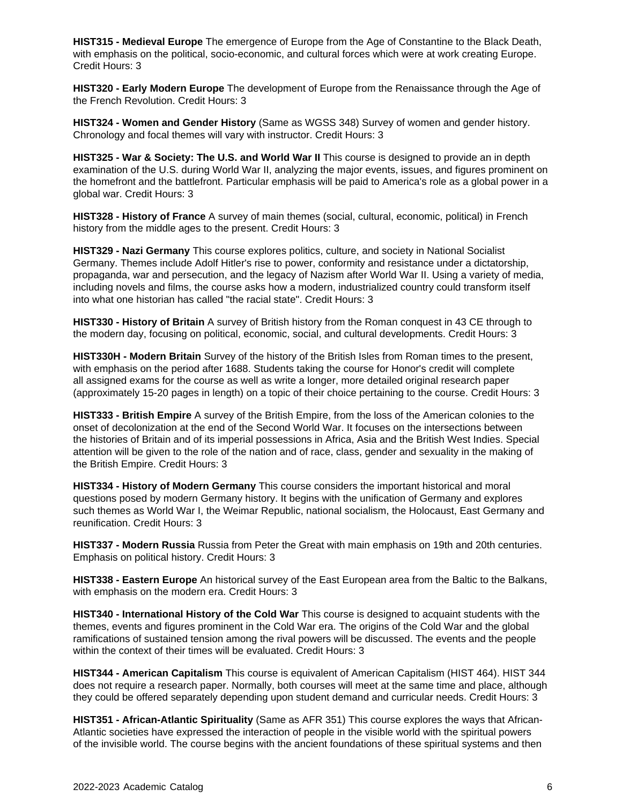**HIST315 - Medieval Europe** The emergence of Europe from the Age of Constantine to the Black Death, with emphasis on the political, socio-economic, and cultural forces which were at work creating Europe. Credit Hours: 3

**HIST320 - Early Modern Europe** The development of Europe from the Renaissance through the Age of the French Revolution. Credit Hours: 3

**HIST324 - Women and Gender History** (Same as WGSS 348) Survey of women and gender history. Chronology and focal themes will vary with instructor. Credit Hours: 3

**HIST325 - War & Society: The U.S. and World War II** This course is designed to provide an in depth examination of the U.S. during World War II, analyzing the major events, issues, and figures prominent on the homefront and the battlefront. Particular emphasis will be paid to America's role as a global power in a global war. Credit Hours: 3

**HIST328 - History of France** A survey of main themes (social, cultural, economic, political) in French history from the middle ages to the present. Credit Hours: 3

**HIST329 - Nazi Germany** This course explores politics, culture, and society in National Socialist Germany. Themes include Adolf Hitler's rise to power, conformity and resistance under a dictatorship, propaganda, war and persecution, and the legacy of Nazism after World War II. Using a variety of media, including novels and films, the course asks how a modern, industrialized country could transform itself into what one historian has called "the racial state". Credit Hours: 3

**HIST330 - History of Britain** A survey of British history from the Roman conquest in 43 CE through to the modern day, focusing on political, economic, social, and cultural developments. Credit Hours: 3

**HIST330H - Modern Britain** Survey of the history of the British Isles from Roman times to the present, with emphasis on the period after 1688. Students taking the course for Honor's credit will complete all assigned exams for the course as well as write a longer, more detailed original research paper (approximately 15-20 pages in length) on a topic of their choice pertaining to the course. Credit Hours: 3

**HIST333 - British Empire** A survey of the British Empire, from the loss of the American colonies to the onset of decolonization at the end of the Second World War. It focuses on the intersections between the histories of Britain and of its imperial possessions in Africa, Asia and the British West Indies. Special attention will be given to the role of the nation and of race, class, gender and sexuality in the making of the British Empire. Credit Hours: 3

**HIST334 - History of Modern Germany** This course considers the important historical and moral questions posed by modern Germany history. It begins with the unification of Germany and explores such themes as World War I, the Weimar Republic, national socialism, the Holocaust, East Germany and reunification. Credit Hours: 3

**HIST337 - Modern Russia** Russia from Peter the Great with main emphasis on 19th and 20th centuries. Emphasis on political history. Credit Hours: 3

**HIST338 - Eastern Europe** An historical survey of the East European area from the Baltic to the Balkans, with emphasis on the modern era. Credit Hours: 3

**HIST340 - International History of the Cold War** This course is designed to acquaint students with the themes, events and figures prominent in the Cold War era. The origins of the Cold War and the global ramifications of sustained tension among the rival powers will be discussed. The events and the people within the context of their times will be evaluated. Credit Hours: 3

**HIST344 - American Capitalism** This course is equivalent of American Capitalism (HIST 464). HIST 344 does not require a research paper. Normally, both courses will meet at the same time and place, although they could be offered separately depending upon student demand and curricular needs. Credit Hours: 3

**HIST351 - African-Atlantic Spirituality** (Same as AFR 351) This course explores the ways that African-Atlantic societies have expressed the interaction of people in the visible world with the spiritual powers of the invisible world. The course begins with the ancient foundations of these spiritual systems and then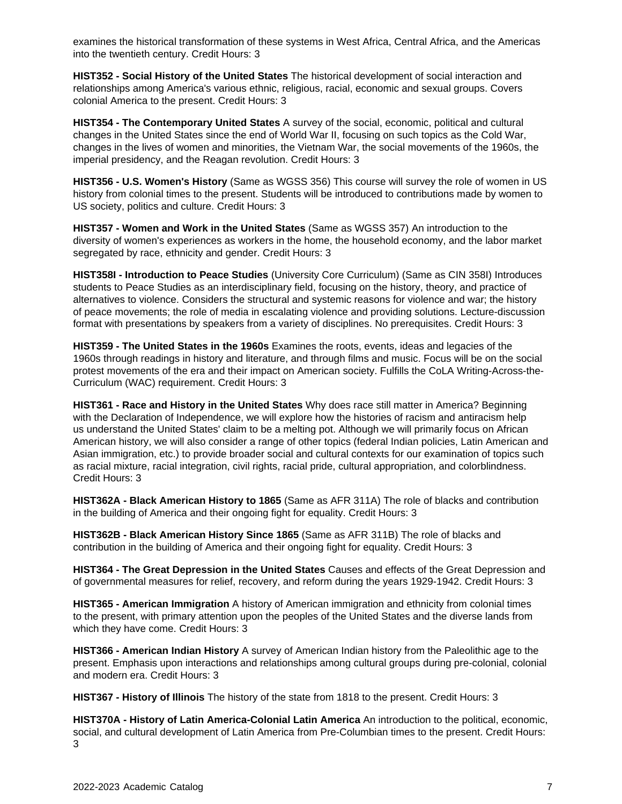examines the historical transformation of these systems in West Africa, Central Africa, and the Americas into the twentieth century. Credit Hours: 3

**HIST352 - Social History of the United States** The historical development of social interaction and relationships among America's various ethnic, religious, racial, economic and sexual groups. Covers colonial America to the present. Credit Hours: 3

**HIST354 - The Contemporary United States** A survey of the social, economic, political and cultural changes in the United States since the end of World War II, focusing on such topics as the Cold War, changes in the lives of women and minorities, the Vietnam War, the social movements of the 1960s, the imperial presidency, and the Reagan revolution. Credit Hours: 3

**HIST356 - U.S. Women's History** (Same as WGSS 356) This course will survey the role of women in US history from colonial times to the present. Students will be introduced to contributions made by women to US society, politics and culture. Credit Hours: 3

**HIST357 - Women and Work in the United States** (Same as WGSS 357) An introduction to the diversity of women's experiences as workers in the home, the household economy, and the labor market segregated by race, ethnicity and gender. Credit Hours: 3

**HIST358I - Introduction to Peace Studies** (University Core Curriculum) (Same as CIN 358I) Introduces students to Peace Studies as an interdisciplinary field, focusing on the history, theory, and practice of alternatives to violence. Considers the structural and systemic reasons for violence and war; the history of peace movements; the role of media in escalating violence and providing solutions. Lecture-discussion format with presentations by speakers from a variety of disciplines. No prerequisites. Credit Hours: 3

**HIST359 - The United States in the 1960s** Examines the roots, events, ideas and legacies of the 1960s through readings in history and literature, and through films and music. Focus will be on the social protest movements of the era and their impact on American society. Fulfills the CoLA Writing-Across-the-Curriculum (WAC) requirement. Credit Hours: 3

**HIST361 - Race and History in the United States** Why does race still matter in America? Beginning with the Declaration of Independence, we will explore how the histories of racism and antiracism help us understand the United States' claim to be a melting pot. Although we will primarily focus on African American history, we will also consider a range of other topics (federal Indian policies, Latin American and Asian immigration, etc.) to provide broader social and cultural contexts for our examination of topics such as racial mixture, racial integration, civil rights, racial pride, cultural appropriation, and colorblindness. Credit Hours: 3

**HIST362A - Black American History to 1865** (Same as AFR 311A) The role of blacks and contribution in the building of America and their ongoing fight for equality. Credit Hours: 3

**HIST362B - Black American History Since 1865** (Same as AFR 311B) The role of blacks and contribution in the building of America and their ongoing fight for equality. Credit Hours: 3

**HIST364 - The Great Depression in the United States** Causes and effects of the Great Depression and of governmental measures for relief, recovery, and reform during the years 1929-1942. Credit Hours: 3

**HIST365 - American Immigration** A history of American immigration and ethnicity from colonial times to the present, with primary attention upon the peoples of the United States and the diverse lands from which they have come. Credit Hours: 3

**HIST366 - American Indian History** A survey of American Indian history from the Paleolithic age to the present. Emphasis upon interactions and relationships among cultural groups during pre-colonial, colonial and modern era. Credit Hours: 3

**HIST367 - History of Illinois** The history of the state from 1818 to the present. Credit Hours: 3

**HIST370A - History of Latin America-Colonial Latin America** An introduction to the political, economic, social, and cultural development of Latin America from Pre-Columbian times to the present. Credit Hours: 3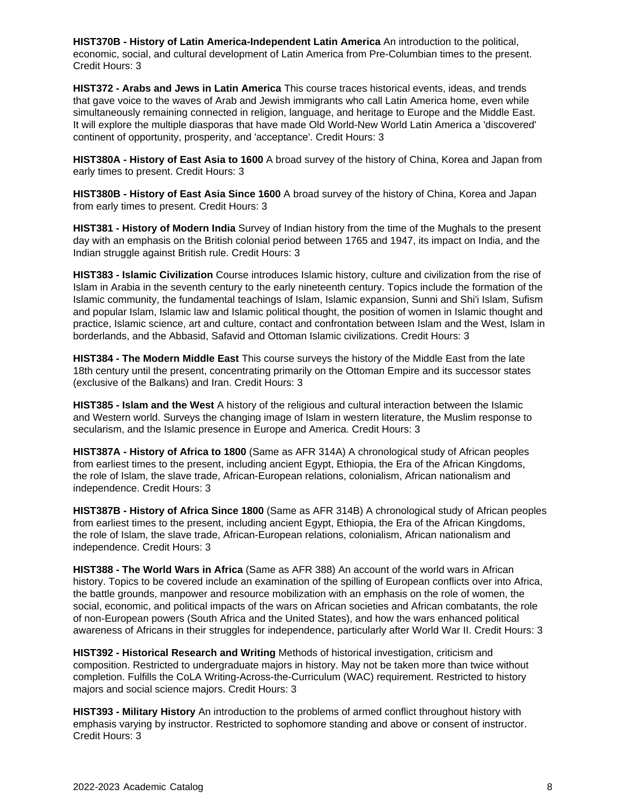**HIST370B - History of Latin America-Independent Latin America** An introduction to the political, economic, social, and cultural development of Latin America from Pre-Columbian times to the present. Credit Hours: 3

**HIST372 - Arabs and Jews in Latin America** This course traces historical events, ideas, and trends that gave voice to the waves of Arab and Jewish immigrants who call Latin America home, even while simultaneously remaining connected in religion, language, and heritage to Europe and the Middle East. It will explore the multiple diasporas that have made Old World-New World Latin America a 'discovered' continent of opportunity, prosperity, and 'acceptance'. Credit Hours: 3

**HIST380A - History of East Asia to 1600** A broad survey of the history of China, Korea and Japan from early times to present. Credit Hours: 3

**HIST380B - History of East Asia Since 1600** A broad survey of the history of China, Korea and Japan from early times to present. Credit Hours: 3

**HIST381 - History of Modern India** Survey of Indian history from the time of the Mughals to the present day with an emphasis on the British colonial period between 1765 and 1947, its impact on India, and the Indian struggle against British rule. Credit Hours: 3

**HIST383 - Islamic Civilization** Course introduces Islamic history, culture and civilization from the rise of Islam in Arabia in the seventh century to the early nineteenth century. Topics include the formation of the Islamic community, the fundamental teachings of Islam, Islamic expansion, Sunni and Shi'i Islam, Sufism and popular Islam, Islamic law and Islamic political thought, the position of women in Islamic thought and practice, Islamic science, art and culture, contact and confrontation between Islam and the West, Islam in borderlands, and the Abbasid, Safavid and Ottoman Islamic civilizations. Credit Hours: 3

**HIST384 - The Modern Middle East** This course surveys the history of the Middle East from the late 18th century until the present, concentrating primarily on the Ottoman Empire and its successor states (exclusive of the Balkans) and Iran. Credit Hours: 3

**HIST385 - Islam and the West** A history of the religious and cultural interaction between the Islamic and Western world. Surveys the changing image of Islam in western literature, the Muslim response to secularism, and the Islamic presence in Europe and America. Credit Hours: 3

**HIST387A - History of Africa to 1800** (Same as AFR 314A) A chronological study of African peoples from earliest times to the present, including ancient Egypt, Ethiopia, the Era of the African Kingdoms, the role of Islam, the slave trade, African-European relations, colonialism, African nationalism and independence. Credit Hours: 3

**HIST387B - History of Africa Since 1800** (Same as AFR 314B) A chronological study of African peoples from earliest times to the present, including ancient Egypt, Ethiopia, the Era of the African Kingdoms, the role of Islam, the slave trade, African-European relations, colonialism, African nationalism and independence. Credit Hours: 3

**HIST388 - The World Wars in Africa** (Same as AFR 388) An account of the world wars in African history. Topics to be covered include an examination of the spilling of European conflicts over into Africa, the battle grounds, manpower and resource mobilization with an emphasis on the role of women, the social, economic, and political impacts of the wars on African societies and African combatants, the role of non-European powers (South Africa and the United States), and how the wars enhanced political awareness of Africans in their struggles for independence, particularly after World War II. Credit Hours: 3

**HIST392 - Historical Research and Writing** Methods of historical investigation, criticism and composition. Restricted to undergraduate majors in history. May not be taken more than twice without completion. Fulfills the CoLA Writing-Across-the-Curriculum (WAC) requirement. Restricted to history majors and social science majors. Credit Hours: 3

**HIST393 - Military History** An introduction to the problems of armed conflict throughout history with emphasis varying by instructor. Restricted to sophomore standing and above or consent of instructor. Credit Hours: 3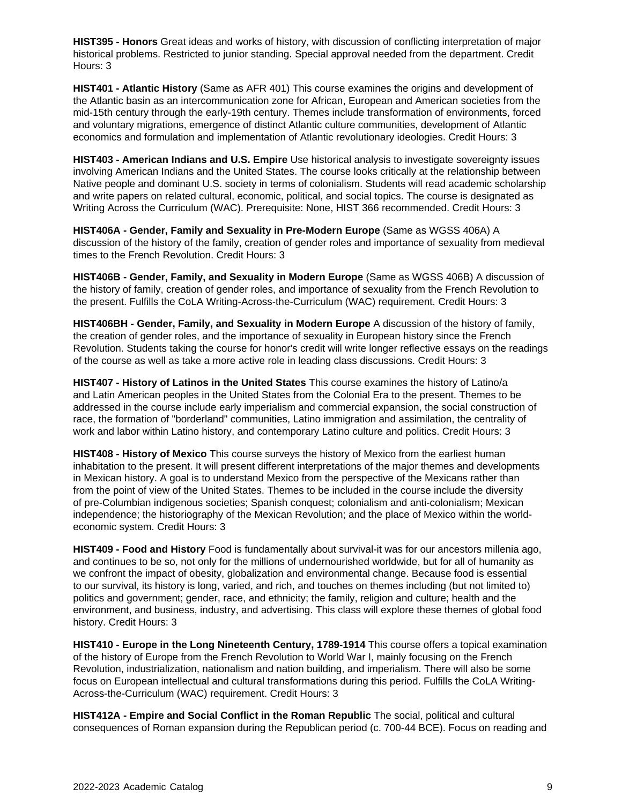**HIST395 - Honors** Great ideas and works of history, with discussion of conflicting interpretation of major historical problems. Restricted to junior standing. Special approval needed from the department. Credit Hours: 3

**HIST401 - Atlantic History** (Same as AFR 401) This course examines the origins and development of the Atlantic basin as an intercommunication zone for African, European and American societies from the mid-15th century through the early-19th century. Themes include transformation of environments, forced and voluntary migrations, emergence of distinct Atlantic culture communities, development of Atlantic economics and formulation and implementation of Atlantic revolutionary ideologies. Credit Hours: 3

**HIST403 - American Indians and U.S. Empire** Use historical analysis to investigate sovereignty issues involving American Indians and the United States. The course looks critically at the relationship between Native people and dominant U.S. society in terms of colonialism. Students will read academic scholarship and write papers on related cultural, economic, political, and social topics. The course is designated as Writing Across the Curriculum (WAC). Prerequisite: None, HIST 366 recommended. Credit Hours: 3

**HIST406A - Gender, Family and Sexuality in Pre-Modern Europe** (Same as WGSS 406A) A discussion of the history of the family, creation of gender roles and importance of sexuality from medieval times to the French Revolution. Credit Hours: 3

**HIST406B - Gender, Family, and Sexuality in Modern Europe** (Same as WGSS 406B) A discussion of the history of family, creation of gender roles, and importance of sexuality from the French Revolution to the present. Fulfills the CoLA Writing-Across-the-Curriculum (WAC) requirement. Credit Hours: 3

**HIST406BH - Gender, Family, and Sexuality in Modern Europe** A discussion of the history of family, the creation of gender roles, and the importance of sexuality in European history since the French Revolution. Students taking the course for honor's credit will write longer reflective essays on the readings of the course as well as take a more active role in leading class discussions. Credit Hours: 3

**HIST407 - History of Latinos in the United States** This course examines the history of Latino/a and Latin American peoples in the United States from the Colonial Era to the present. Themes to be addressed in the course include early imperialism and commercial expansion, the social construction of race, the formation of "borderland" communities, Latino immigration and assimilation, the centrality of work and labor within Latino history, and contemporary Latino culture and politics. Credit Hours: 3

**HIST408 - History of Mexico** This course surveys the history of Mexico from the earliest human inhabitation to the present. It will present different interpretations of the major themes and developments in Mexican history. A goal is to understand Mexico from the perspective of the Mexicans rather than from the point of view of the United States. Themes to be included in the course include the diversity of pre-Columbian indigenous societies; Spanish conquest; colonialism and anti-colonialism; Mexican independence; the historiography of the Mexican Revolution; and the place of Mexico within the worldeconomic system. Credit Hours: 3

**HIST409 - Food and History** Food is fundamentally about survival-it was for our ancestors millenia ago, and continues to be so, not only for the millions of undernourished worldwide, but for all of humanity as we confront the impact of obesity, globalization and environmental change. Because food is essential to our survival, its history is long, varied, and rich, and touches on themes including (but not limited to) politics and government; gender, race, and ethnicity; the family, religion and culture; health and the environment, and business, industry, and advertising. This class will explore these themes of global food history. Credit Hours: 3

**HIST410 - Europe in the Long Nineteenth Century, 1789-1914** This course offers a topical examination of the history of Europe from the French Revolution to World War I, mainly focusing on the French Revolution, industrialization, nationalism and nation building, and imperialism. There will also be some focus on European intellectual and cultural transformations during this period. Fulfills the CoLA Writing-Across-the-Curriculum (WAC) requirement. Credit Hours: 3

**HIST412A - Empire and Social Conflict in the Roman Republic** The social, political and cultural consequences of Roman expansion during the Republican period (c. 700-44 BCE). Focus on reading and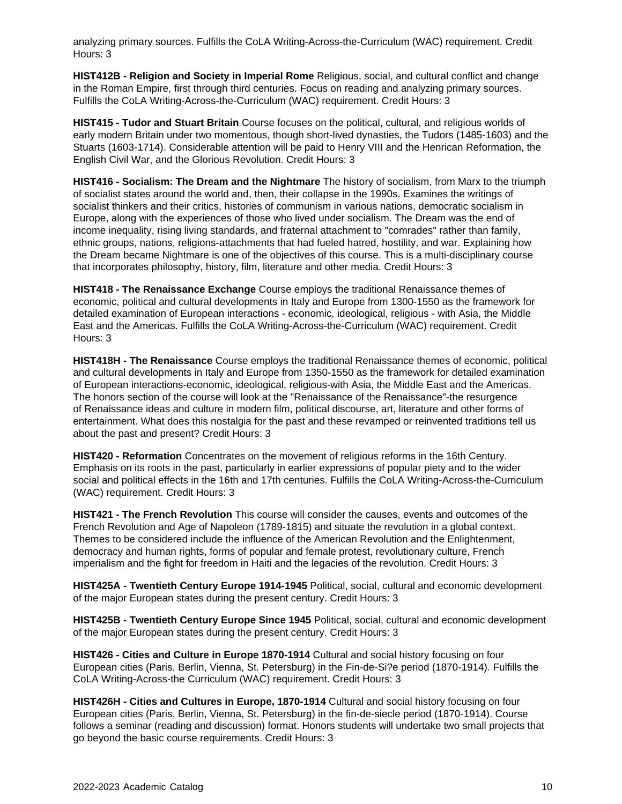analyzing primary sources. Fulfills the CoLA Writing-Across-the-Curriculum (WAC) requirement. Credit Hours: 3

**HIST412B - Religion and Society in Imperial Rome** Religious, social, and cultural conflict and change in the Roman Empire, first through third centuries. Focus on reading and analyzing primary sources. Fulfills the CoLA Writing-Across-the-Curriculum (WAC) requirement. Credit Hours: 3

**HIST415 - Tudor and Stuart Britain** Course focuses on the political, cultural, and religious worlds of early modern Britain under two momentous, though short-lived dynasties, the Tudors (1485-1603) and the Stuarts (1603-1714). Considerable attention will be paid to Henry VIII and the Henrican Reformation, the English Civil War, and the Glorious Revolution. Credit Hours: 3

**HIST416 - Socialism: The Dream and the Nightmare** The history of socialism, from Marx to the triumph of socialist states around the world and, then, their collapse in the 1990s. Examines the writings of socialist thinkers and their critics, histories of communism in various nations, democratic socialism in Europe, along with the experiences of those who lived under socialism. The Dream was the end of income inequality, rising living standards, and fraternal attachment to "comrades" rather than family, ethnic groups, nations, religions-attachments that had fueled hatred, hostility, and war. Explaining how the Dream became Nightmare is one of the objectives of this course. This is a multi-disciplinary course that incorporates philosophy, history, film, literature and other media. Credit Hours: 3

**HIST418 - The Renaissance Exchange** Course employs the traditional Renaissance themes of economic, political and cultural developments in Italy and Europe from 1300-1550 as the framework for detailed examination of European interactions - economic, ideological, religious - with Asia, the Middle East and the Americas. Fulfills the CoLA Writing-Across-the-Curriculum (WAC) requirement. Credit Hours: 3

**HIST418H - The Renaissance** Course employs the traditional Renaissance themes of economic, political and cultural developments in Italy and Europe from 1350-1550 as the framework for detailed examination of European interactions-economic, ideological, religious-with Asia, the Middle East and the Americas. The honors section of the course will look at the "Renaissance of the Renaissance"-the resurgence of Renaissance ideas and culture in modern film, political discourse, art, literature and other forms of entertainment. What does this nostalgia for the past and these revamped or reinvented traditions tell us about the past and present? Credit Hours: 3

**HIST420 - Reformation** Concentrates on the movement of religious reforms in the 16th Century. Emphasis on its roots in the past, particularly in earlier expressions of popular piety and to the wider social and political effects in the 16th and 17th centuries. Fulfills the CoLA Writing-Across-the-Curriculum (WAC) requirement. Credit Hours: 3

**HIST421 - The French Revolution** This course will consider the causes, events and outcomes of the French Revolution and Age of Napoleon (1789-1815) and situate the revolution in a global context. Themes to be considered include the influence of the American Revolution and the Enlightenment, democracy and human rights, forms of popular and female protest, revolutionary culture, French imperialism and the fight for freedom in Haiti and the legacies of the revolution. Credit Hours: 3

**HIST425A - Twentieth Century Europe 1914-1945** Political, social, cultural and economic development of the major European states during the present century. Credit Hours: 3

**HIST425B - Twentieth Century Europe Since 1945** Political, social, cultural and economic development of the major European states during the present century. Credit Hours: 3

**HIST426 - Cities and Culture in Europe 1870-1914** Cultural and social history focusing on four European cities (Paris, Berlin, Vienna, St. Petersburg) in the Fin-de-Si?e period (1870-1914). Fulfills the CoLA Writing-Across-the Curriculum (WAC) requirement. Credit Hours: 3

**HIST426H - Cities and Cultures in Europe, 1870-1914** Cultural and social history focusing on four European cities (Paris, Berlin, Vienna, St. Petersburg) in the fin-de-siecle period (1870-1914). Course follows a seminar (reading and discussion) format. Honors students will undertake two small projects that go beyond the basic course requirements. Credit Hours: 3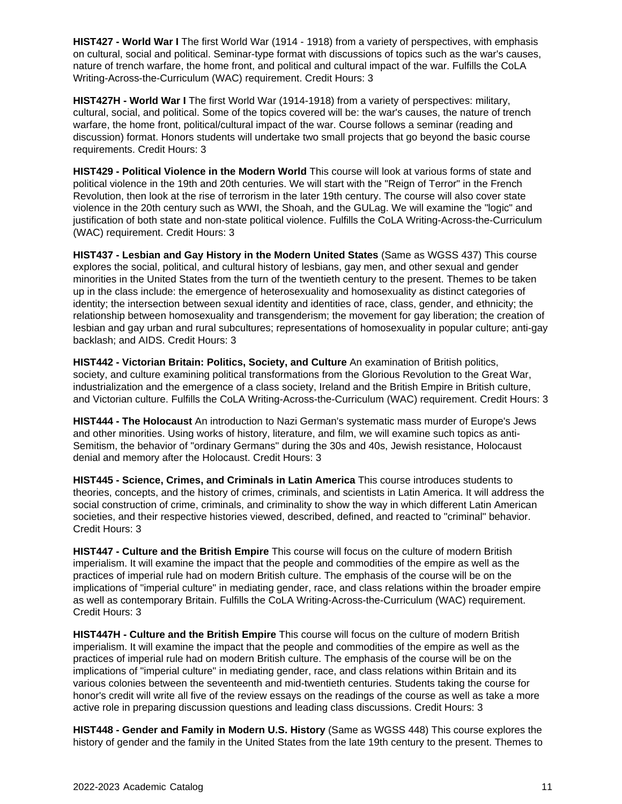**HIST427 - World War I** The first World War (1914 - 1918) from a variety of perspectives, with emphasis on cultural, social and political. Seminar-type format with discussions of topics such as the war's causes, nature of trench warfare, the home front, and political and cultural impact of the war. Fulfills the CoLA Writing-Across-the-Curriculum (WAC) requirement. Credit Hours: 3

**HIST427H - World War I** The first World War (1914-1918) from a variety of perspectives: military, cultural, social, and political. Some of the topics covered will be: the war's causes, the nature of trench warfare, the home front, political/cultural impact of the war. Course follows a seminar (reading and discussion) format. Honors students will undertake two small projects that go beyond the basic course requirements. Credit Hours: 3

**HIST429 - Political Violence in the Modern World** This course will look at various forms of state and political violence in the 19th and 20th centuries. We will start with the "Reign of Terror" in the French Revolution, then look at the rise of terrorism in the later 19th century. The course will also cover state violence in the 20th century such as WWI, the Shoah, and the GULag. We will examine the "logic" and justification of both state and non-state political violence. Fulfills the CoLA Writing-Across-the-Curriculum (WAC) requirement. Credit Hours: 3

**HIST437 - Lesbian and Gay History in the Modern United States** (Same as WGSS 437) This course explores the social, political, and cultural history of lesbians, gay men, and other sexual and gender minorities in the United States from the turn of the twentieth century to the present. Themes to be taken up in the class include: the emergence of heterosexuality and homosexuality as distinct categories of identity; the intersection between sexual identity and identities of race, class, gender, and ethnicity; the relationship between homosexuality and transgenderism; the movement for gay liberation; the creation of lesbian and gay urban and rural subcultures; representations of homosexuality in popular culture; anti-gay backlash; and AIDS. Credit Hours: 3

**HIST442 - Victorian Britain: Politics, Society, and Culture** An examination of British politics, society, and culture examining political transformations from the Glorious Revolution to the Great War, industrialization and the emergence of a class society, Ireland and the British Empire in British culture, and Victorian culture. Fulfills the CoLA Writing-Across-the-Curriculum (WAC) requirement. Credit Hours: 3

**HIST444 - The Holocaust** An introduction to Nazi German's systematic mass murder of Europe's Jews and other minorities. Using works of history, literature, and film, we will examine such topics as anti-Semitism, the behavior of "ordinary Germans" during the 30s and 40s, Jewish resistance, Holocaust denial and memory after the Holocaust. Credit Hours: 3

**HIST445 - Science, Crimes, and Criminals in Latin America** This course introduces students to theories, concepts, and the history of crimes, criminals, and scientists in Latin America. It will address the social construction of crime, criminals, and criminality to show the way in which different Latin American societies, and their respective histories viewed, described, defined, and reacted to "criminal" behavior. Credit Hours: 3

**HIST447 - Culture and the British Empire** This course will focus on the culture of modern British imperialism. It will examine the impact that the people and commodities of the empire as well as the practices of imperial rule had on modern British culture. The emphasis of the course will be on the implications of "imperial culture" in mediating gender, race, and class relations within the broader empire as well as contemporary Britain. Fulfills the CoLA Writing-Across-the-Curriculum (WAC) requirement. Credit Hours: 3

**HIST447H - Culture and the British Empire** This course will focus on the culture of modern British imperialism. It will examine the impact that the people and commodities of the empire as well as the practices of imperial rule had on modern British culture. The emphasis of the course will be on the implications of "imperial culture" in mediating gender, race, and class relations within Britain and its various colonies between the seventeenth and mid-twentieth centuries. Students taking the course for honor's credit will write all five of the review essays on the readings of the course as well as take a more active role in preparing discussion questions and leading class discussions. Credit Hours: 3

**HIST448 - Gender and Family in Modern U.S. History** (Same as WGSS 448) This course explores the history of gender and the family in the United States from the late 19th century to the present. Themes to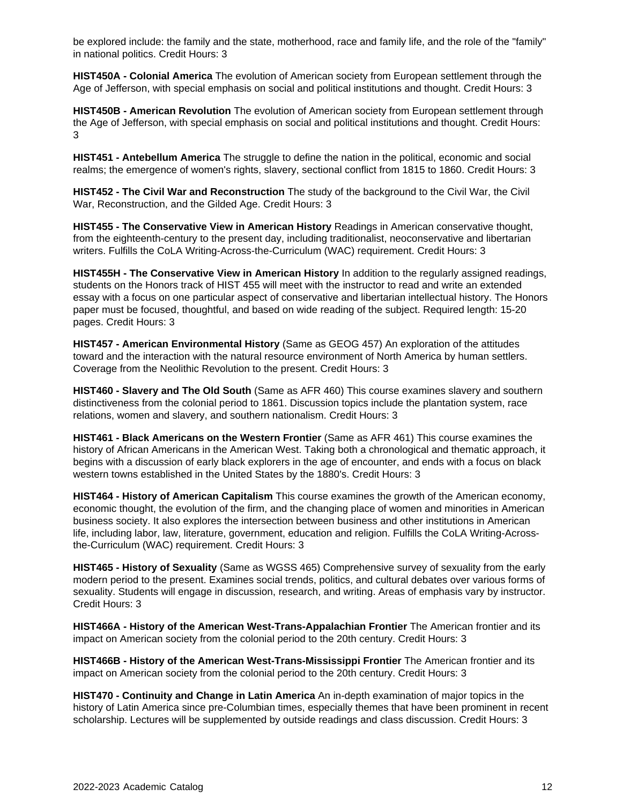be explored include: the family and the state, motherhood, race and family life, and the role of the "family" in national politics. Credit Hours: 3

**HIST450A - Colonial America** The evolution of American society from European settlement through the Age of Jefferson, with special emphasis on social and political institutions and thought. Credit Hours: 3

**HIST450B - American Revolution** The evolution of American society from European settlement through the Age of Jefferson, with special emphasis on social and political institutions and thought. Credit Hours: 3

**HIST451 - Antebellum America** The struggle to define the nation in the political, economic and social realms; the emergence of women's rights, slavery, sectional conflict from 1815 to 1860. Credit Hours: 3

**HIST452 - The Civil War and Reconstruction** The study of the background to the Civil War, the Civil War, Reconstruction, and the Gilded Age. Credit Hours: 3

**HIST455 - The Conservative View in American History** Readings in American conservative thought, from the eighteenth-century to the present day, including traditionalist, neoconservative and libertarian writers. Fulfills the CoLA Writing-Across-the-Curriculum (WAC) requirement. Credit Hours: 3

**HIST455H - The Conservative View in American History** In addition to the regularly assigned readings, students on the Honors track of HIST 455 will meet with the instructor to read and write an extended essay with a focus on one particular aspect of conservative and libertarian intellectual history. The Honors paper must be focused, thoughtful, and based on wide reading of the subject. Required length: 15-20 pages. Credit Hours: 3

**HIST457 - American Environmental History** (Same as GEOG 457) An exploration of the attitudes toward and the interaction with the natural resource environment of North America by human settlers. Coverage from the Neolithic Revolution to the present. Credit Hours: 3

**HIST460 - Slavery and The Old South** (Same as AFR 460) This course examines slavery and southern distinctiveness from the colonial period to 1861. Discussion topics include the plantation system, race relations, women and slavery, and southern nationalism. Credit Hours: 3

**HIST461 - Black Americans on the Western Frontier** (Same as AFR 461) This course examines the history of African Americans in the American West. Taking both a chronological and thematic approach, it begins with a discussion of early black explorers in the age of encounter, and ends with a focus on black western towns established in the United States by the 1880's. Credit Hours: 3

**HIST464 - History of American Capitalism** This course examines the growth of the American economy, economic thought, the evolution of the firm, and the changing place of women and minorities in American business society. It also explores the intersection between business and other institutions in American life, including labor, law, literature, government, education and religion. Fulfills the CoLA Writing-Acrossthe-Curriculum (WAC) requirement. Credit Hours: 3

**HIST465 - History of Sexuality** (Same as WGSS 465) Comprehensive survey of sexuality from the early modern period to the present. Examines social trends, politics, and cultural debates over various forms of sexuality. Students will engage in discussion, research, and writing. Areas of emphasis vary by instructor. Credit Hours: 3

**HIST466A - History of the American West-Trans-Appalachian Frontier** The American frontier and its impact on American society from the colonial period to the 20th century. Credit Hours: 3

**HIST466B - History of the American West-Trans-Mississippi Frontier** The American frontier and its impact on American society from the colonial period to the 20th century. Credit Hours: 3

**HIST470 - Continuity and Change in Latin America** An in-depth examination of major topics in the history of Latin America since pre-Columbian times, especially themes that have been prominent in recent scholarship. Lectures will be supplemented by outside readings and class discussion. Credit Hours: 3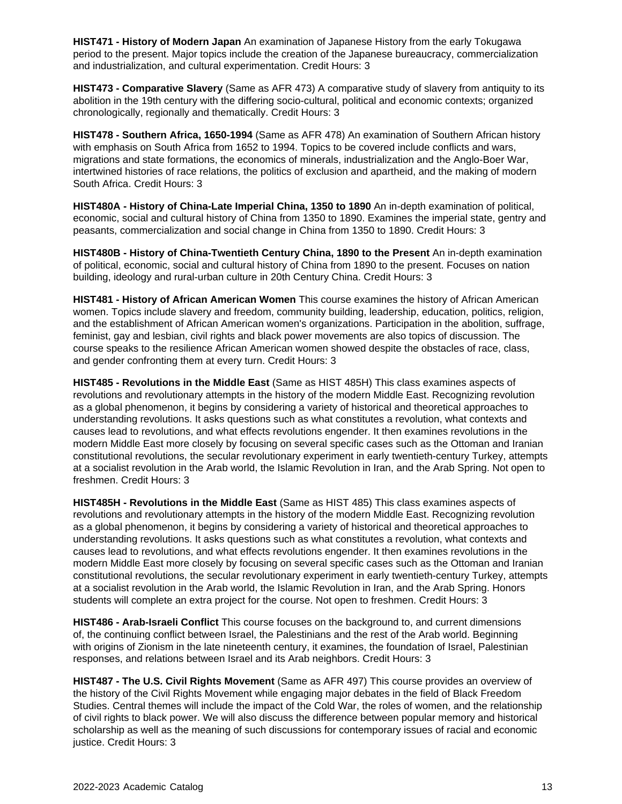**HIST471 - History of Modern Japan** An examination of Japanese History from the early Tokugawa period to the present. Major topics include the creation of the Japanese bureaucracy, commercialization and industrialization, and cultural experimentation. Credit Hours: 3

**HIST473 - Comparative Slavery** (Same as AFR 473) A comparative study of slavery from antiquity to its abolition in the 19th century with the differing socio-cultural, political and economic contexts; organized chronologically, regionally and thematically. Credit Hours: 3

**HIST478 - Southern Africa, 1650-1994** (Same as AFR 478) An examination of Southern African history with emphasis on South Africa from 1652 to 1994. Topics to be covered include conflicts and wars, migrations and state formations, the economics of minerals, industrialization and the Anglo-Boer War, intertwined histories of race relations, the politics of exclusion and apartheid, and the making of modern South Africa. Credit Hours: 3

**HIST480A - History of China-Late Imperial China, 1350 to 1890** An in-depth examination of political, economic, social and cultural history of China from 1350 to 1890. Examines the imperial state, gentry and peasants, commercialization and social change in China from 1350 to 1890. Credit Hours: 3

**HIST480B - History of China-Twentieth Century China, 1890 to the Present** An in-depth examination of political, economic, social and cultural history of China from 1890 to the present. Focuses on nation building, ideology and rural-urban culture in 20th Century China. Credit Hours: 3

**HIST481 - History of African American Women** This course examines the history of African American women. Topics include slavery and freedom, community building, leadership, education, politics, religion, and the establishment of African American women's organizations. Participation in the abolition, suffrage, feminist, gay and lesbian, civil rights and black power movements are also topics of discussion. The course speaks to the resilience African American women showed despite the obstacles of race, class, and gender confronting them at every turn. Credit Hours: 3

**HIST485 - Revolutions in the Middle East** (Same as HIST 485H) This class examines aspects of revolutions and revolutionary attempts in the history of the modern Middle East. Recognizing revolution as a global phenomenon, it begins by considering a variety of historical and theoretical approaches to understanding revolutions. It asks questions such as what constitutes a revolution, what contexts and causes lead to revolutions, and what effects revolutions engender. It then examines revolutions in the modern Middle East more closely by focusing on several specific cases such as the Ottoman and Iranian constitutional revolutions, the secular revolutionary experiment in early twentieth-century Turkey, attempts at a socialist revolution in the Arab world, the Islamic Revolution in Iran, and the Arab Spring. Not open to freshmen. Credit Hours: 3

**HIST485H - Revolutions in the Middle East** (Same as HIST 485) This class examines aspects of revolutions and revolutionary attempts in the history of the modern Middle East. Recognizing revolution as a global phenomenon, it begins by considering a variety of historical and theoretical approaches to understanding revolutions. It asks questions such as what constitutes a revolution, what contexts and causes lead to revolutions, and what effects revolutions engender. It then examines revolutions in the modern Middle East more closely by focusing on several specific cases such as the Ottoman and Iranian constitutional revolutions, the secular revolutionary experiment in early twentieth-century Turkey, attempts at a socialist revolution in the Arab world, the Islamic Revolution in Iran, and the Arab Spring. Honors students will complete an extra project for the course. Not open to freshmen. Credit Hours: 3

**HIST486 - Arab-Israeli Conflict** This course focuses on the background to, and current dimensions of, the continuing conflict between Israel, the Palestinians and the rest of the Arab world. Beginning with origins of Zionism in the late nineteenth century, it examines, the foundation of Israel, Palestinian responses, and relations between Israel and its Arab neighbors. Credit Hours: 3

**HIST487 - The U.S. Civil Rights Movement** (Same as AFR 497) This course provides an overview of the history of the Civil Rights Movement while engaging major debates in the field of Black Freedom Studies. Central themes will include the impact of the Cold War, the roles of women, and the relationship of civil rights to black power. We will also discuss the difference between popular memory and historical scholarship as well as the meaning of such discussions for contemporary issues of racial and economic justice. Credit Hours: 3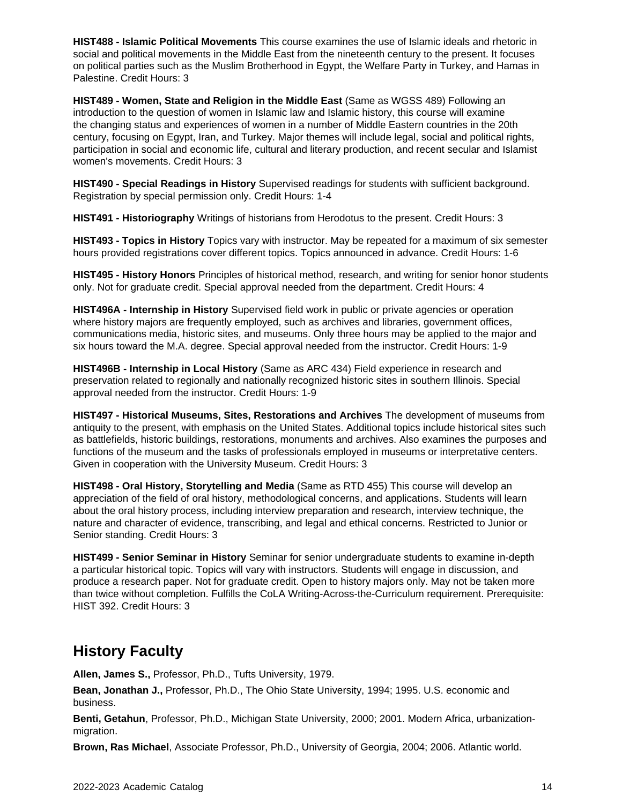**HIST488 - Islamic Political Movements** This course examines the use of Islamic ideals and rhetoric in social and political movements in the Middle East from the nineteenth century to the present. It focuses on political parties such as the Muslim Brotherhood in Egypt, the Welfare Party in Turkey, and Hamas in Palestine. Credit Hours: 3

**HIST489 - Women, State and Religion in the Middle East** (Same as WGSS 489) Following an introduction to the question of women in Islamic law and Islamic history, this course will examine the changing status and experiences of women in a number of Middle Eastern countries in the 20th century, focusing on Egypt, Iran, and Turkey. Major themes will include legal, social and political rights, participation in social and economic life, cultural and literary production, and recent secular and Islamist women's movements. Credit Hours: 3

**HIST490 - Special Readings in History** Supervised readings for students with sufficient background. Registration by special permission only. Credit Hours: 1-4

**HIST491 - Historiography** Writings of historians from Herodotus to the present. Credit Hours: 3

**HIST493 - Topics in History** Topics vary with instructor. May be repeated for a maximum of six semester hours provided registrations cover different topics. Topics announced in advance. Credit Hours: 1-6

**HIST495 - History Honors** Principles of historical method, research, and writing for senior honor students only. Not for graduate credit. Special approval needed from the department. Credit Hours: 4

**HIST496A - Internship in History** Supervised field work in public or private agencies or operation where history majors are frequently employed, such as archives and libraries, government offices, communications media, historic sites, and museums. Only three hours may be applied to the major and six hours toward the M.A. degree. Special approval needed from the instructor. Credit Hours: 1-9

**HIST496B - Internship in Local History** (Same as ARC 434) Field experience in research and preservation related to regionally and nationally recognized historic sites in southern Illinois. Special approval needed from the instructor. Credit Hours: 1-9

**HIST497 - Historical Museums, Sites, Restorations and Archives** The development of museums from antiquity to the present, with emphasis on the United States. Additional topics include historical sites such as battlefields, historic buildings, restorations, monuments and archives. Also examines the purposes and functions of the museum and the tasks of professionals employed in museums or interpretative centers. Given in cooperation with the University Museum. Credit Hours: 3

**HIST498 - Oral History, Storytelling and Media** (Same as RTD 455) This course will develop an appreciation of the field of oral history, methodological concerns, and applications. Students will learn about the oral history process, including interview preparation and research, interview technique, the nature and character of evidence, transcribing, and legal and ethical concerns. Restricted to Junior or Senior standing. Credit Hours: 3

**HIST499 - Senior Seminar in History** Seminar for senior undergraduate students to examine in-depth a particular historical topic. Topics will vary with instructors. Students will engage in discussion, and produce a research paper. Not for graduate credit. Open to history majors only. May not be taken more than twice without completion. Fulfills the CoLA Writing-Across-the-Curriculum requirement. Prerequisite: HIST 392. Credit Hours: 3

### **History Faculty**

**Allen, James S.,** Professor, Ph.D., Tufts University, 1979.

**Bean, Jonathan J.,** Professor, Ph.D., The Ohio State University, 1994; 1995. U.S. economic and business.

**Benti, Getahun**, Professor, Ph.D., Michigan State University, 2000; 2001. Modern Africa, urbanizationmigration.

**Brown, Ras Michael**, Associate Professor, Ph.D., University of Georgia, 2004; 2006. Atlantic world.